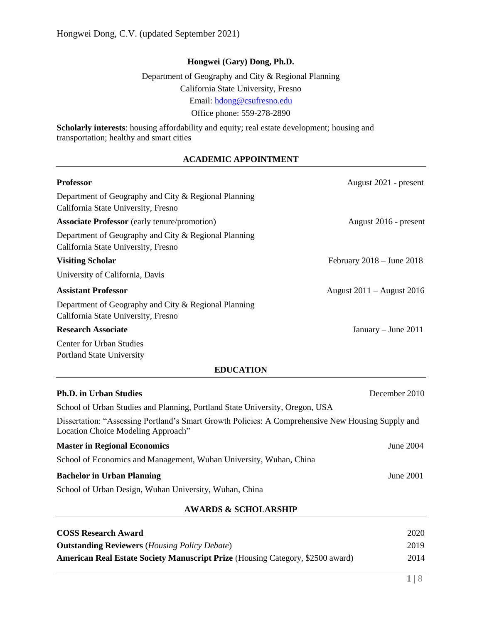## **Hongwei (Gary) Dong, Ph.D.**

Department of Geography and City & Regional Planning

California State University, Fresno

Email: [hdong@csufresno.edu](mailto:hdong@csufresno.edu)

Office phone: 559-278-2890

**Scholarly interests**: housing affordability and equity; real estate development; housing and transportation; healthy and smart cities

### **ACADEMIC APPOINTMENT**

| <b>Professor</b>                                                                            | August 2021 - present         |
|---------------------------------------------------------------------------------------------|-------------------------------|
| Department of Geography and City & Regional Planning<br>California State University, Fresno |                               |
| <b>Associate Professor</b> (early tenure/promotion)                                         | August 2016 - present         |
| Department of Geography and City & Regional Planning<br>California State University, Fresno |                               |
| <b>Visiting Scholar</b>                                                                     | February $2018 -$ June $2018$ |
| University of California, Davis                                                             |                               |
| <b>Assistant Professor</b>                                                                  | August 2011 – August 2016     |
| Department of Geography and City & Regional Planning<br>California State University, Fresno |                               |
| <b>Research Associate</b>                                                                   | January – June $2011$         |
| <b>Center for Urban Studies</b><br>Portland State University                                |                               |
| <b>EDUCATION</b>                                                                            |                               |
| <b>Ph.D. in Urban Studies</b>                                                               | December 2010                 |
| School of Urban Studies and Planning, Portland State University, Oregon, USA                |                               |

Dissertation: "Assessing Portland's Smart Growth Policies: A Comprehensive New Housing Supply and Location Choice Modeling Approach"

| <b>Master in Regional Economics</b>                                | June 2004 |
|--------------------------------------------------------------------|-----------|
| School of Economics and Management, Wuhan University, Wuhan, China |           |
| <b>Bachelor in Urban Planning</b>                                  | June 2001 |
| School of Urban Design, Wuhan University, Wuhan, China             |           |

#### **AWARDS & SCHOLARSHIP**

| <b>COSS Research Award</b>                                                            | 2020 |
|---------------------------------------------------------------------------------------|------|
| <b>Outstanding Reviewers</b> ( <i>Housing Policy Debate</i> )                         | 2019 |
| <b>American Real Estate Society Manuscript Prize (Housing Category, \$2500 award)</b> | 2014 |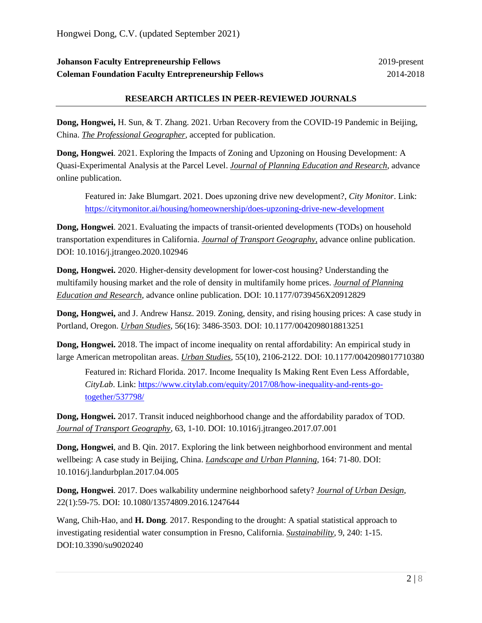# **Johanson Faculty Entrepreneurship Fellows** 2019-present **Coleman Foundation Faculty Entrepreneurship Fellows** 2014-2018

### **RESEARCH ARTICLES IN PEER-REVIEWED JOURNALS**

**Dong, Hongwei,** H. Sun, & T. Zhang. 2021. Urban Recovery from the COVID-19 Pandemic in Beijing, China. *The Professional Geographer,* accepted for publication.

**Dong, Hongwei**. 2021. Exploring the Impacts of Zoning and Upzoning on Housing Development: A Quasi-Experimental Analysis at the Parcel Level. *Journal of Planning Education and Research*, advance online publication.

Featured in: Jake Blumgart. 2021. Does upzoning drive new development?, *City Monitor*. Link: <https://citymonitor.ai/housing/homeownership/does-upzoning-drive-new-development>

**Dong, Hongwei**. 2021. Evaluating the impacts of transit-oriented developments (TODs) on household transportation expenditures in California. *Journal of Transport Geography,* advance online publication. DOI: 10.1016/j.jtrangeo.2020.102946

**Dong, Hongwei.** 2020. Higher-density development for lower-cost housing? Understanding the multifamily housing market and the role of density in multifamily home prices. *Journal of Planning Education and Research*, advance online publication. DOI: 10.1177/0739456X20912829

**Dong, Hongwei,** and J. Andrew Hansz. 2019. Zoning, density, and rising housing prices: A case study in Portland, Oregon. *Urban Studies*, 56(16): 3486-3503. DOI: 10.1177/0042098018813251

**Dong, Hongwei.** 2018. The impact of income inequality on rental affordability: An empirical study in large American metropolitan areas. *Urban Studies*, 55(10), 2106-2122. DOI: 10.1177/0042098017710380

Featured in: Richard Florida. 2017. Income Inequality Is Making Rent Even Less Affordable, *CityLab*. Link: [https://www.citylab.com/equity/2017/08/how-inequality-and-rents-go](https://www.citylab.com/equity/2017/08/how-inequality-and-rents-go-together/537798/)[together/537798/](https://www.citylab.com/equity/2017/08/how-inequality-and-rents-go-together/537798/)

**Dong, Hongwei.** 2017. Transit induced neighborhood change and the affordability paradox of TOD. *Journal of Transport Geography*, 63, 1-10. DOI: 10.1016/j.jtrangeo.2017.07.001

**Dong, Hongwei**, and B. Qin. 2017. Exploring the link between neighborhood environment and mental wellbeing: A case study in Beijing, China. *Landscape and Urban Planning*, 164: 71-80. DOI: 10.1016/j.landurbplan.2017.04.005

**Dong, Hongwei**. 2017. Does walkability undermine neighborhood safety? *Journal of Urban Design*, 22(1):59-75. DOI: 10.1080/13574809.2016.1247644

Wang, Chih-Hao, and **H. Dong**. 2017. Responding to the drought: A spatial statistical approach to investigating residential water consumption in Fresno, California. *Sustainability*, 9, 240: 1-15. DOI:10.3390/su9020240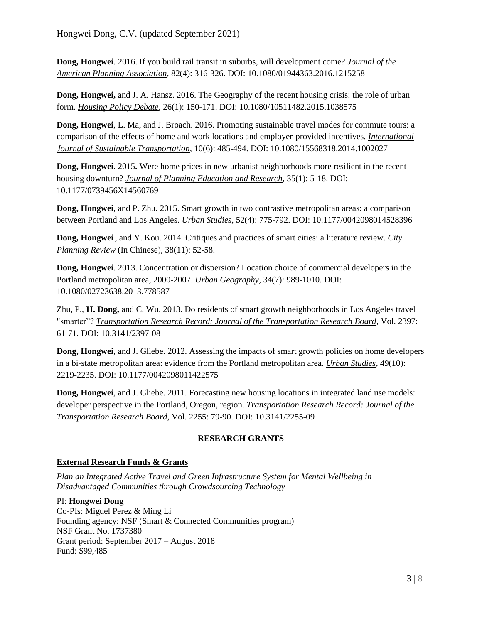**Dong, Hongwei**. 2016. If you build rail transit in suburbs, will development come? *Journal of the American Planning Association*, 82(4): 316-326. DOI: 10.1080/01944363.2016.1215258

**Dong, Hongwei,** and J. A. Hansz. 2016. The Geography of the recent housing crisis: the role of urban form. *Housing Policy Debate*, 26(1): 150-171. DOI: 10.1080/10511482.2015.1038575

**Dong, Hongwei**, L. Ma, and J. Broach. 2016. Promoting sustainable travel modes for commute tours: a comparison of the effects of home and work locations and employer-provided incentives. *International Journal of Sustainable Transportation,* 10(6): 485-494. DOI: 10.1080/15568318.2014.1002027

**Dong, Hongwei**. 2015**.** Were home prices in new urbanist neighborhoods more resilient in the recent housing downturn? *Journal of Planning Education and Research*, 35(1): 5-18. DOI: 10.1177/0739456X14560769

**Dong, Hongwei**, and P. Zhu. 2015. Smart growth in two contrastive metropolitan areas: a comparison between Portland and Los Angeles. *Urban Studies,* 52(4): 775-792. DOI: 10.1177/0042098014528396

**Dong, Hongwei** , and Y. Kou. 2014. Critiques and practices of smart cities: a literature review. *City Planning Review* (In Chinese), 38(11): 52-58.

**Dong, Hongwei**. 2013. Concentration or dispersion? Location choice of commercial developers in the Portland metropolitan area, 2000-2007. *Urban Geography,* 34(7): 989-1010. DOI: 10.1080/02723638.2013.778587

Zhu, P., **H. Dong,** and C. Wu. 2013. Do residents of smart growth neighborhoods in Los Angeles travel "smarter"? *Transportation Research Record: Journal of the Transportation Research Board,* Vol. 2397: 61-71*.* DOI: 10.3141/2397-08

**Dong, Hongwei**, and J. Gliebe. 2012. Assessing the impacts of smart growth policies on home developers in a bi-state metropolitan area: evidence from the Portland metropolitan area. *Urban Studies,* 49(10): 2219-2235. DOI: 10.1177/0042098011422575

**Dong, Hongwei**, and J. Gliebe. 2011. Forecasting new housing locations in integrated land use models: developer perspective in the Portland, Oregon, region. *Transportation Research Record: Journal of the Transportation Research Board,* Vol. 2255: 79-90. DOI: 10.3141/2255-09

# **RESEARCH GRANTS**

## **External Research Funds & Grants**

*Plan an Integrated Active Travel and Green Infrastructure System for Mental Wellbeing in Disadvantaged Communities through Crowdsourcing Technology*

## PI: **Hongwei Dong**

Co-PIs: Miguel Perez & Ming Li Founding agency: NSF (Smart & Connected Communities program) NSF Grant No. 1737380 Grant period: September 2017 – August 2018 Fund: \$99,485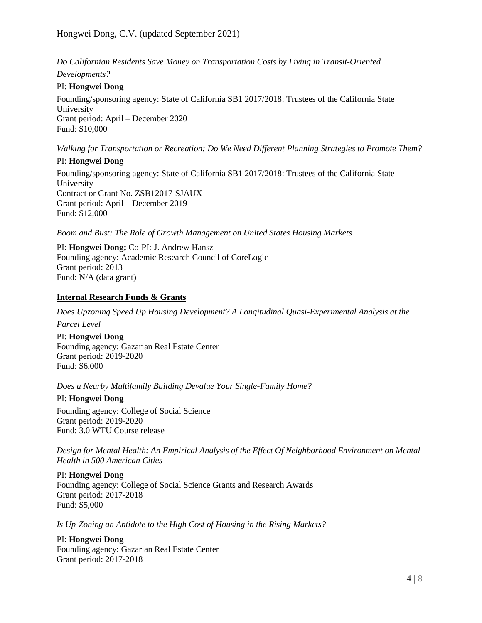## Hongwei Dong, C.V. (updated September 2021)

*Do Californian Residents Save Money on Transportation Costs by Living in Transit-Oriented* 

*Developments?*

# PI: **Hongwei Dong**

Founding/sponsoring agency: State of California SB1 2017/2018: Trustees of the California State University Grant period: April – December 2020 Fund: \$10,000

## *Walking for Transportation or Recreation: Do We Need Different Planning Strategies to Promote Them?*

### PI: **Hongwei Dong**

Founding/sponsoring agency: State of California SB1 2017/2018: Trustees of the California State University Contract or Grant No. ZSB12017-SJAUX Grant period: April – December 2019 Fund: \$12,000

*Boom and Bust: The Role of Growth Management on United States Housing Markets*

PI: **Hongwei Dong;** Co-PI: J. Andrew Hansz Founding agency: Academic Research Council of CoreLogic Grant period: 2013 Fund: N/A (data grant)

### **Internal Research Funds & Grants**

*Does Upzoning Speed Up Housing Development? A Longitudinal Quasi-Experimental Analysis at the Parcel Level*

PI: **Hongwei Dong** Founding agency: Gazarian Real Estate Center Grant period: 2019-2020 Fund: \$6,000

*Does a Nearby Multifamily Building Devalue Your Single-Family Home?* 

## PI: **Hongwei Dong**

Founding agency: College of Social Science Grant period: 2019-2020 Fund: 3.0 WTU Course release

*Design for Mental Health: An Empirical Analysis of the Effect Of Neighborhood Environment on Mental Health in 500 American Cities*

PI: **Hongwei Dong** Founding agency: College of Social Science Grants and Research Awards Grant period: 2017-2018 Fund: \$5,000

*Is Up-Zoning an Antidote to the High Cost of Housing in the Rising Markets?*

PI: **Hongwei Dong** Founding agency: Gazarian Real Estate Center Grant period: 2017-2018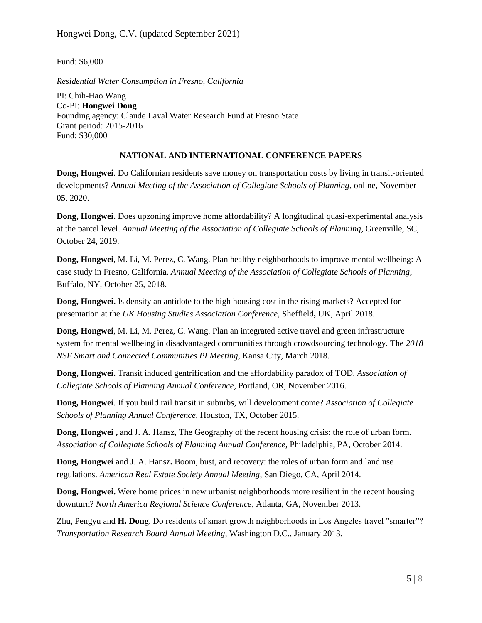Hongwei Dong, C.V. (updated September 2021)

Fund: \$6,000

*Residential Water Consumption in Fresno, California* 

PI: Chih-Hao Wang Co-PI: **Hongwei Dong**  Founding agency: Claude Laval Water Research Fund at Fresno State Grant period: 2015-2016 Fund: \$30,000

## **NATIONAL AND INTERNATIONAL CONFERENCE PAPERS**

**Dong, Hongwei**. Do Californian residents save money on transportation costs by living in transit-oriented developments? *Annual Meeting of the Association of Collegiate Schools of Planning*, online, November 05, 2020.

**Dong, Hongwei.** Does upzoning improve home affordability? A longitudinal quasi-experimental analysis at the parcel level. *Annual Meeting of the Association of Collegiate Schools of Planning*, Greenville, SC, October 24, 2019.

**Dong, Hongwei**, M. Li, M. Perez, C. Wang. Plan healthy neighborhoods to improve mental wellbeing: A case study in Fresno, California. *Annual Meeting of the Association of Collegiate Schools of Planning*, Buffalo, NY, October 25, 2018.

**Dong, Hongwei.** Is density an antidote to the high housing cost in the rising markets? Accepted for presentation at the *UK Housing Studies Association Conference*, Sheffield**,** UK, April 2018.

**Dong, Hongwei**, M. Li, M. Perez, C. Wang. Plan an integrated active travel and green infrastructure system for mental wellbeing in disadvantaged communities through crowdsourcing technology. The *2018 NSF Smart and Connected Communities PI Meeting*, Kansa City, March 2018.

**Dong, Hongwei.** Transit induced gentrification and the affordability paradox of TOD. *Association of Collegiate Schools of Planning Annual Conference*, Portland, OR, November 2016.

**Dong, Hongwei**. If you build rail transit in suburbs, will development come? *Association of Collegiate Schools of Planning Annual Conference*, Houston, TX, October 2015.

**Dong, Hongwei ,** and J. A. Hansz, The Geography of the recent housing crisis: the role of urban form. *Association of Collegiate Schools of Planning Annual Conference*, Philadelphia, PA, October 2014.

**Dong, Hongwei** and J. A. Hansz**.** Boom, bust, and recovery: the roles of urban form and land use regulations. *American Real Estate Society Annual Meeting*, San Diego, CA, April 2014.

**Dong, Hongwei.** Were home prices in new urbanist neighborhoods more resilient in the recent housing downturn? *North America Regional Science Conference*, Atlanta, GA, November 2013.

Zhu, Pengyu and **H. Dong**. Do residents of smart growth neighborhoods in Los Angeles travel "smarter"? *Transportation Research Board Annual Meeting,* Washington D.C., January 2013*.*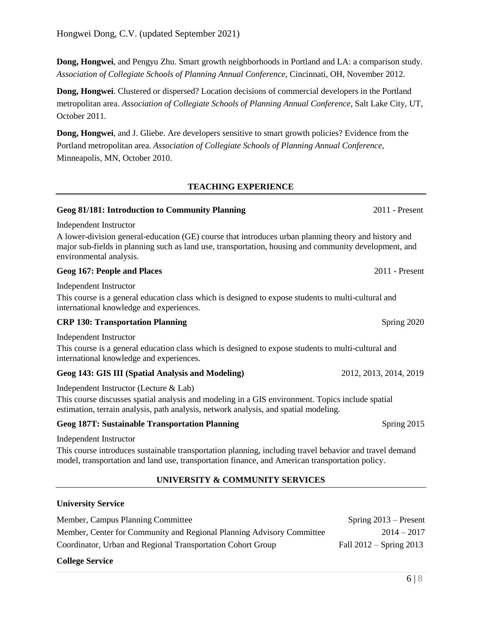**Dong, Hongwei**, and Pengyu Zhu. Smart growth neighborhoods in Portland and LA: a comparison study. *Association of Collegiate Schools of Planning Annual Conference*, Cincinnati, OH, November 2012.

**Dong, Hongwei**. Clustered or dispersed? Location decisions of commercial developers in the Portland metropolitan area. *Association of Collegiate Schools of Planning Annual Conference*, Salt Lake City, UT, October 2011.

**Dong, Hongwei**, and J. Gliebe. Are developers sensitive to smart growth policies? Evidence from the Portland metropolitan area. *Association of Collegiate Schools of Planning Annual Conference,*  Minneapolis, MN, October 2010.

#### **TEACHING EXPERIENCE**

| Geog 81/181: Introduction to Community Planning                                                                                                                                                                                                                           | 2011 - Present         |
|---------------------------------------------------------------------------------------------------------------------------------------------------------------------------------------------------------------------------------------------------------------------------|------------------------|
| <b>Independent Instructor</b><br>A lower-division general-education (GE) course that introduces urban planning theory and history and<br>major sub-fields in planning such as land use, transportation, housing and community development, and<br>environmental analysis. |                        |
| <b>Geog 167: People and Places</b>                                                                                                                                                                                                                                        | $2011$ - Present       |
| Independent Instructor<br>This course is a general education class which is designed to expose students to multi-cultural and<br>international knowledge and experiences.                                                                                                 |                        |
| <b>CRP 130: Transportation Planning</b>                                                                                                                                                                                                                                   | Spring 2020            |
| <b>Independent Instructor</b><br>This course is a general education class which is designed to expose students to multi-cultural and<br>international knowledge and experiences.                                                                                          |                        |
| Geog 143: GIS III (Spatial Analysis and Modeling)                                                                                                                                                                                                                         | 2012, 2013, 2014, 2019 |
| Independent Instructor (Lecture & Lab)<br>This course discusses spatial analysis and modeling in a GIS environment. Topics include spatial<br>estimation, terrain analysis, path analysis, network analysis, and spatial modeling.                                        |                        |
| <b>Geog 187T: Sustainable Transportation Planning</b>                                                                                                                                                                                                                     | Spring 2015            |
| <b>Independent Instructor</b><br>This course introduces sustainable transportation planning, including travel behavior and travel demand<br>model, transportation and land use, transportation finance, and American transportation policy.                               |                        |

## **UNIVERSITY & COMMUNITY SERVICES**

#### **University Service**

| Member, Campus Planning Committee                                     | Spring $2013$ – Present     |
|-----------------------------------------------------------------------|-----------------------------|
| Member, Center for Community and Regional Planning Advisory Committee | $2014 - 2017$               |
| Coordinator, Urban and Regional Transportation Cohort Group           | Fall $2012 -$ Spring $2013$ |

#### **College Service**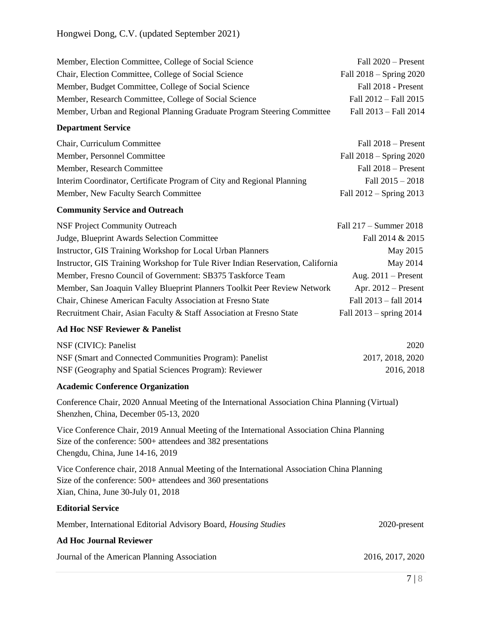| Member, Election Committee, College of Social Science                   | Fall 2020 - Present         |
|-------------------------------------------------------------------------|-----------------------------|
| Chair, Election Committee, College of Social Science                    | Fall $2018 -$ Spring $2020$ |
| Member, Budget Committee, College of Social Science                     | Fall 2018 - Present         |
| Member, Research Committee, College of Social Science                   | Fall 2012 - Fall 2015       |
| Member, Urban and Regional Planning Graduate Program Steering Committee | Fall 2013 - Fall 2014       |

### **Department Service**

| Chair, Curriculum Committee                                            | Fall 2018 – Present         |
|------------------------------------------------------------------------|-----------------------------|
| Member, Personnel Committee                                            | Fall $2018 -$ Spring $2020$ |
| Member, Research Committee                                             | Fall $2018$ – Present       |
| Interim Coordinator, Certificate Program of City and Regional Planning | Fall $2015 - 2018$          |
| Member, New Faculty Search Committee                                   | Fall $2012 -$ Spring 2013   |

### **Community Service and Outreach**

| <b>NSF Project Community Outreach</b>                                           | Fall 217 – Summer 2018      |
|---------------------------------------------------------------------------------|-----------------------------|
| Judge, Blueprint Awards Selection Committee                                     | Fall 2014 & 2015            |
| Instructor, GIS Training Workshop for Local Urban Planners                      | May 2015                    |
| Instructor, GIS Training Workshop for Tule River Indian Reservation, California | May 2014                    |
| Member, Fresno Council of Government: SB375 Taskforce Team                      | Aug. $2011$ – Present       |
| Member, San Joaquin Valley Blueprint Planners Toolkit Peer Review Network       | Apr. $2012$ – Present       |
| Chair, Chinese American Faculty Association at Fresno State                     | Fall 2013 - fall 2014       |
| Recruitment Chair, Asian Faculty & Staff Association at Fresno State            | Fall $2013$ – spring $2014$ |

## **Ad Hoc NSF Reviewer & Panelist**

| NSF (CIVIC): Panelist                                   | 2020             |  |
|---------------------------------------------------------|------------------|--|
| NSF (Smart and Connected Communities Program): Panelist | 2017, 2018, 2020 |  |
| NSF (Geography and Spatial Sciences Program): Reviewer  | 2016, 2018       |  |

## **Academic Conference Organization**

Conference Chair, 2020 Annual Meeting of the International Association China Planning (Virtual) Shenzhen, China, December 05-13, 2020

Vice Conference Chair, 2019 Annual Meeting of the International Association China Planning Size of the conference: 500+ attendees and 382 presentations Chengdu, China, June 14-16, 2019

Vice Conference chair, 2018 Annual Meeting of the International Association China Planning Size of the conference: 500+ attendees and 360 presentations Xian, China, June 30-July 01, 2018

# **Editorial Service** Member, International Editorial Advisory Board, *Housing Studies* 2020-present **Ad Hoc Journal Reviewer** Journal of the American Planning Association 2016, 2017, 2020